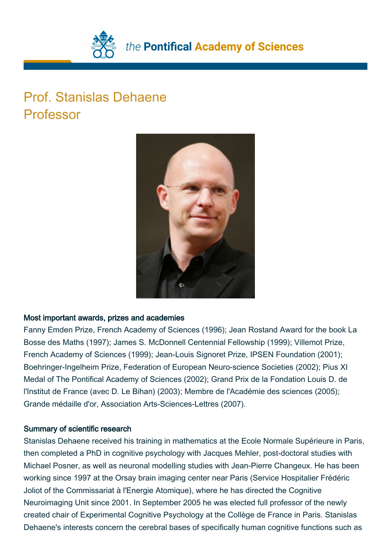

# Prof. Stanislas Dehaene Professor



## Most important awards, prizes and academies

Fanny Emden Prize, French Academy of Sciences (1996); Jean Rostand Award for the book La Bosse des Maths (1997); James S. McDonnell Centennial Fellowship (1999); Villemot Prize, French Academy of Sciences (1999); Jean-Louis Signoret Prize, IPSEN Foundation (2001); Boehringer-Ingelheim Prize, Federation of European Neuro-science Societies (2002); Pius XI Medal of The Pontifical Academy of Sciences (2002); Grand Prix de la Fondation Louis D. de l'Institut de France (avec D. Le Bihan) (2003); Membre de l'Académie des sciences (2005); Grande médaille d'or, Association Arts-Sciences-Lettres (2007).

## Summary of scientific research

Stanislas Dehaene received his training in mathematics at the Ecole Normale Supérieure in Paris, then completed a PhD in cognitive psychology with Jacques Mehler, post-doctoral studies with Michael Posner, as well as neuronal modelling studies with Jean-Pierre Changeux. He has been working since 1997 at the Orsay brain imaging center near Paris (Service Hospitalier Frédéric Joliot of the Commissariat à l'Energie Atomique), where he has directed the Cognitive Neuroimaging Unit since 2001. In September 2005 he was elected full professor of the newly created chair of Experimental Cognitive Psychology at the Collège de France in Paris. Stanislas Dehaene's interests concern the cerebral bases of specifically human cognitive functions such as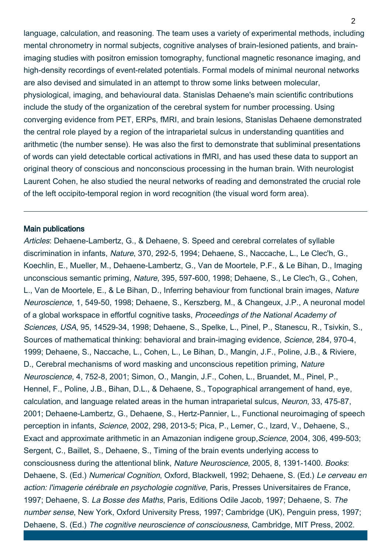language, calculation, and reasoning. The team uses a variety of experimental methods, including mental chronometry in normal subjects, cognitive analyses of brain-lesioned patients, and brainimaging studies with positron emission tomography, functional magnetic resonance imaging, and high-density recordings of event-related potentials. Formal models of minimal neuronal networks are also devised and simulated in an attempt to throw some links between molecular, physiological, imaging, and behavioural data. Stanislas Dehaene's main scientific contributions include the study of the organization of the cerebral system for number processing. Using converging evidence from PET, ERPs, fMRI, and brain lesions, Stanislas Dehaene demonstrated the central role played by a region of the intraparietal sulcus in understanding quantities and arithmetic (the number sense). He was also the first to demonstrate that subliminal presentations of words can yield detectable cortical activations in fMRI, and has used these data to support an original theory of conscious and nonconscious processing in the human brain. With neurologist Laurent Cohen, he also studied the neural networks of reading and demonstrated the crucial role of the left occipito-temporal region in word recognition (the visual word form area).

#### Main publications

Articles: Dehaene-Lambertz, G., & Dehaene, S. Speed and cerebral correlates of syllable discrimination in infants, Nature, 370, 292-5, 1994; Dehaene, S., Naccache, L., Le Clec'h, G., Koechlin, E., Mueller, M., Dehaene-Lambertz, G., Van de Moortele, P.F., & Le Bihan, D., Imaging unconscious semantic priming, Nature, 395, 597-600, 1998; Dehaene, S., Le Clec'h, G., Cohen, L., Van de Moortele, E., & Le Bihan, D., Inferring behaviour from functional brain images, Nature Neuroscience, 1, 549-50, 1998; Dehaene, S., Kerszberg, M., & Changeux, J.P., A neuronal model of a global workspace in effortful cognitive tasks, Proceedings of the National Academy of Sciences, USA, 95, 14529-34, 1998; Dehaene, S., Spelke, L., Pinel, P., Stanescu, R., Tsivkin, S., Sources of mathematical thinking: behavioral and brain-imaging evidence, Science, 284, 970-4, 1999; Dehaene, S., Naccache, L., Cohen, L., Le Bihan, D., Mangin, J.F., Poline, J.B., & Riviere, D., Cerebral mechanisms of word masking and unconscious repetition priming, Nature Neuroscience, 4, 752-8, 2001; Simon, O., Mangin, J.F., Cohen, L., Bruandet, M., Pinel, P., Hennel, F., Poline, J.B., Bihan, D.L., & Dehaene, S., Topographical arrangement of hand, eye, calculation, and language related areas in the human intraparietal sulcus, Neuron, 33, 475-87, 2001; Dehaene-Lambertz, G., Dehaene, S., Hertz-Pannier, L., Functional neuroimaging of speech perception in infants, Science, 2002, 298, 2013-5; Pica, P., Lemer, C., Izard, V., Dehaene, S., Exact and approximate arithmetic in an Amazonian indigene group, Science, 2004, 306, 499-503; Sergent, C., Baillet, S., Dehaene, S., Timing of the brain events underlying access to consciousness during the attentional blink, Nature Neuroscience, 2005, 8, 1391-1400. Books: Dehaene, S. (Ed.) Numerical Cognition, Oxford, Blackwell, 1992; Dehaene, S. (Ed.) Le cerveau en action: l'imagerie cérébrale en psychologie cognitive, Paris, Presses Universitaires de France, 1997; Dehaene, S. La Bosse des Maths, Paris, Editions Odile Jacob, 1997; Dehaene, S. The number sense, New York, Oxford University Press, 1997; Cambridge (UK), Penguin press, 1997; Dehaene, S. (Ed.) The cognitive neuroscience of consciousness, Cambridge, MIT Press, 2002.